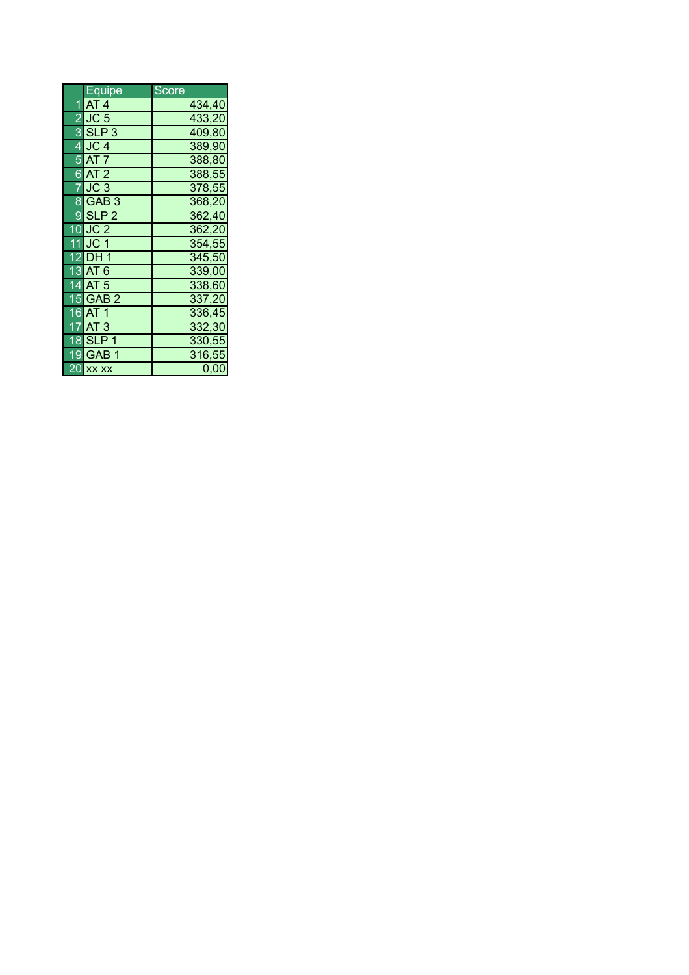|   | Equipe            | Score  |
|---|-------------------|--------|
| 1 | AT 4              | 434,40 |
|   | 2UC <sub>5</sub>  | 433,20 |
|   | $3$ SLP $3$       | 409,80 |
|   | 4 JC 4            | 389,90 |
|   | <b>5 AT 7</b>     | 388,80 |
|   | $6$ AT 2          | 388,55 |
|   | IJC 3             | 378,55 |
|   | 8 GAB 3           | 368,20 |
|   | $9$ SLP 2         | 362,40 |
|   | $10$ JC 2         | 362,20 |
|   | 11 JC 1           | 354,55 |
|   | 12 DH 1           | 345,50 |
|   | 13 AT 6           | 339,00 |
|   | 14 AT 5           | 338,60 |
|   | 15 GAB 2          | 337,20 |
|   | 16 <b>AT</b> 1    | 336,45 |
|   | $7$ $AT$ 3        | 332,30 |
|   | 18 <b>I</b> SLP 1 | 330,55 |
|   | 19IGAB 1          | 316,55 |
|   | 20 xx xx          | 0,00   |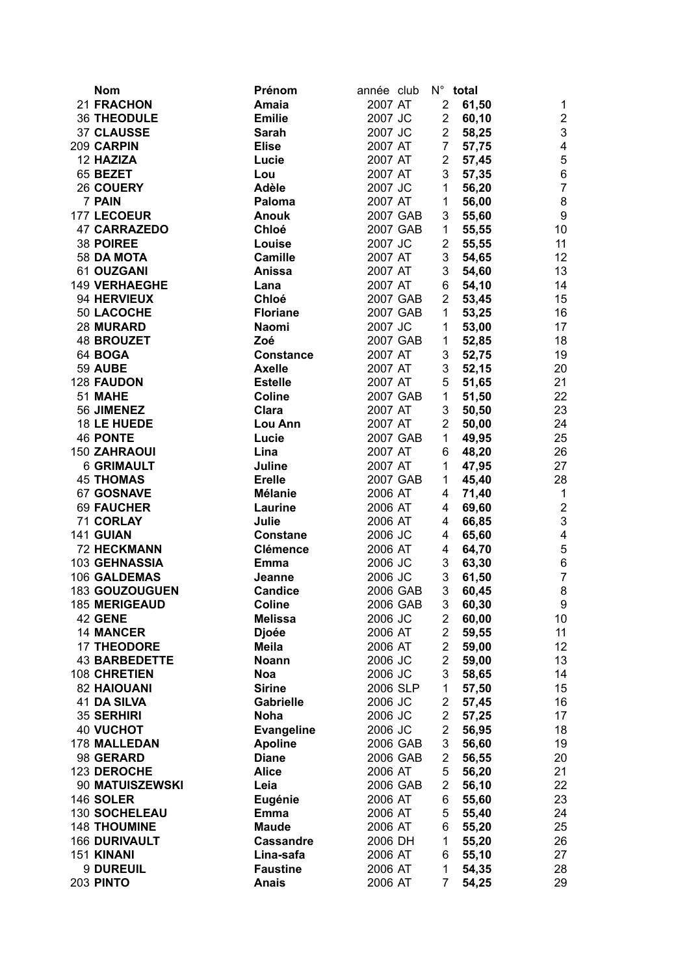| <b>Nom</b>           | Prénom            | année club |          |                | N° total                |                           |
|----------------------|-------------------|------------|----------|----------------|-------------------------|---------------------------|
| 21 FRACHON           | Amaia             | 2007 AT    |          | $\overline{2}$ | 61,50                   | 1                         |
| <b>36 THEODULE</b>   | <b>Emilie</b>     | 2007 JC    |          | $\overline{2}$ | 60,10                   | $\boldsymbol{2}$          |
| 37 CLAUSSE           | Sarah             | 2007 JC    |          | $2^{\circ}$    | 58,25                   | $\ensuremath{\mathsf{3}}$ |
| 209 CARPIN           | <b>Elise</b>      | 2007 AT    |          |                | 7<br>57,75              | $\overline{\mathbf{4}}$   |
| 12 HAZIZA            | Lucie             | 2007 AT    |          | $2^{\circ}$    | 57,45                   | 5                         |
| 65 BEZET             | Lou               | 2007 AT    |          | 3 <sup>1</sup> | 57,35                   | 6                         |
| 26 COUERY            | Adèle             | 2007 JC    |          | 1              | 56,20                   | $\overline{7}$            |
| 7 PAIN               | Paloma            | 2007 AT    |          | 1              | 56,00                   | $\bf 8$                   |
| 177 LECOEUR          | <b>Anouk</b>      | 2007 GAB   |          | 3 <sup>1</sup> | 55,60                   | $\boldsymbol{9}$          |
| <b>47 CARRAZEDO</b>  | Chloé             | 2007 GAB   |          | 1              | 55,55                   | 10                        |
| 38 POIREE            | Louise            | 2007 JC    |          | $2^{\circ}$    | 55,55                   | 11                        |
| 58 DA MOTA           | <b>Camille</b>    | 2007 AT    |          | 3 <sup>1</sup> | 54,65                   | 12                        |
| 61 OUZGANI           | Anissa            | 2007 AT    |          | 3 <sup>7</sup> | 54,60                   | 13                        |
| <b>149 VERHAEGHE</b> | Lana              | 2007 AT    |          | 6              | 54,10                   | 14                        |
| 94 HERVIEUX          | Chloé             | 2007 GAB   |          | $2^{\circ}$    | 53,45                   | 15                        |
| 50 LACOCHE           | <b>Floriane</b>   | 2007 GAB   |          | 1              | 53,25                   | 16                        |
| 28 MURARD            | <b>Naomi</b>      | 2007 JC    |          | 1              | 53,00                   | 17                        |
| <b>48 BROUZET</b>    | Zoé               | 2007 GAB   |          | 1              |                         | 18                        |
|                      |                   |            |          |                | 52,85                   |                           |
| 64 BOGA              | <b>Constance</b>  | 2007 AT    |          |                | 3 <sup>1</sup><br>52,75 | 19                        |
| <b>59 AUBE</b>       | <b>Axelle</b>     | 2007 AT    |          | 3 <sup>7</sup> | 52,15                   | 20                        |
| 128 FAUDON           | <b>Estelle</b>    | 2007 AT    |          | 5 <sup>5</sup> | 51,65                   | 21                        |
| 51 MAHE              | Coline            | 2007 GAB   |          | 1              | 51,50                   | 22                        |
| 56 JIMENEZ           | Clara             | 2007 AT    |          | 3 <sup>1</sup> | 50,50                   | 23                        |
| 18 LE HUEDE          | Lou Ann           | 2007 AT    |          | $2^{\circ}$    | 50,00                   | 24                        |
| <b>46 PONTE</b>      | Lucie             | 2007 GAB   |          | 1              | 49,95                   | 25                        |
| 150 ZAHRAOUI         | Lina              | 2007 AT    |          | 6              | 48,20                   | 26                        |
| <b>6 GRIMAULT</b>    | Juline            | 2007 AT    |          | 1              | 47,95                   | 27                        |
| <b>45 THOMAS</b>     | <b>Erelle</b>     | 2007 GAB   |          | 1              | 45,40                   | 28                        |
| 67 GOSNAVE           | <b>Mélanie</b>    | 2006 AT    |          | 4              | 71,40                   | $\mathbf{1}$              |
| <b>69 FAUCHER</b>    | Laurine           | 2006 AT    |          | $\overline{4}$ | 69,60                   | $\overline{2}$            |
| 71 CORLAY            | Julie             | 2006 AT    |          | $\overline{4}$ | 66,85                   | $\ensuremath{\mathsf{3}}$ |
| 141 GUIAN            | <b>Constane</b>   | 2006 JC    |          | $\overline{4}$ | 65,60                   | $\overline{\mathbf{4}}$   |
| <b>72 HECKMANN</b>   | <b>Clémence</b>   | 2006 AT    |          | $\overline{4}$ | 64,70                   | 5                         |
| 103 GEHNASSIA        | Emma              | 2006 JC    |          | 3 <sup>7</sup> | 63,30                   | $\,6$                     |
| 106 GALDEMAS         | Jeanne            | 2006 JC    |          | 3 <sup>1</sup> | 61,50                   | $\overline{7}$            |
| 183 GOUZOUGUEN       | <b>Candice</b>    | 2006 GAB   |          | 3 <sup>1</sup> | 60,45                   | $\bf 8$                   |
| 185 MERIGEAUD        | <b>Coline</b>     |            | 2006 GAB | 3 <sup>7</sup> | 60,30                   | $\boldsymbol{9}$          |
| 42 GENE              | <b>Melissa</b>    | 2006 JC    |          | $\overline{2}$ | 60,00                   | 10                        |
| <b>14 MANCER</b>     | <b>Djoée</b>      | 2006 AT    |          | $\overline{2}$ | 59,55                   | 11                        |
| <b>17 THEODORE</b>   | <b>Meila</b>      | 2006 AT    |          | $2^{\circ}$    | 59,00                   | 12                        |
| <b>43 BARBEDETTE</b> | <b>Noann</b>      | 2006 JC    |          | $\overline{2}$ | 59,00                   | 13                        |
| 108 CHRETIEN         | <b>Noa</b>        | 2006 JC    |          | 3              | 58,65                   | 14                        |
| <b>82 HAIOUANI</b>   | <b>Sirine</b>     | 2006 SLP   |          | 1              | 57,50                   | 15                        |
| <b>41 DA SILVA</b>   | <b>Gabrielle</b>  | 2006 JC    |          | $2^{\circ}$    | 57,45                   | 16                        |
| 35 SERHIRI           | <b>Noha</b>       | 2006 JC    |          | $2^{\circ}$    | 57,25                   | 17                        |
| 40 VUCHOT            | <b>Evangeline</b> | 2006 JC    |          | 2 <sup>7</sup> | 56,95                   | 18                        |
| 178 MALLEDAN         | <b>Apoline</b>    | 2006 GAB   |          | 3 <sup>1</sup> | 56,60                   | 19                        |
| 98 GERARD            | <b>Diane</b>      | 2006 GAB   |          | $2^{\circ}$    | 56,55                   | 20                        |
| 123 DEROCHE          | <b>Alice</b>      | 2006 AT    |          | 5              | 56,20                   | 21                        |
| 90 MATUISZEWSKI      | Leia              | 2006 GAB   |          | 2 <sup>2</sup> | 56,10                   | 22                        |
| <b>146 SOLER</b>     | Eugénie           | 2006 AT    |          | 6              | 55,60                   | 23                        |
| 130 SOCHELEAU        | Emma              | 2006 AT    |          | 5              | 55,40                   | 24                        |
| <b>148 THOUMINE</b>  | <b>Maude</b>      | 2006 AT    |          | 6              | 55,20                   | 25                        |
| <b>166 DURIVAULT</b> | <b>Cassandre</b>  | 2006 DH    |          | $\mathbf 1$    | 55,20                   | 26                        |
| 151 KINANI           | Lina-safa         | 2006 AT    |          | 6              | 55,10                   | 27                        |
| 9 DUREUIL            | <b>Faustine</b>   | 2006 AT    |          | 1              | 54,35                   | 28                        |
| <b>203 PINTO</b>     | <b>Anais</b>      | 2006 AT    |          | 7              | 54,25                   | 29                        |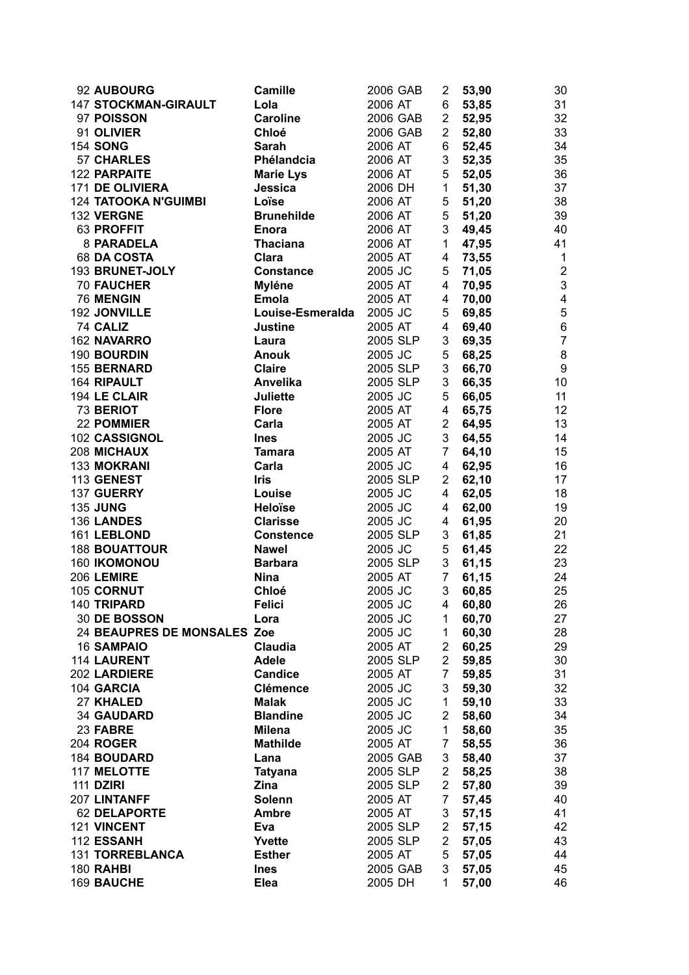| 92 AUBOURG                  | <b>Camille</b>                  | 2006 GAB           | 2                             | 53,90          | 30             |
|-----------------------------|---------------------------------|--------------------|-------------------------------|----------------|----------------|
| <b>147 STOCKMAN-GIRAULT</b> | Lola                            | 2006 AT            | 6                             | 53,85          | 31             |
| 97 POISSON                  | <b>Caroline</b>                 | 2006 GAB           | $2^{\circ}$                   | 52,95          | 32             |
| 91 OLIVIER                  | <b>Chloé</b>                    | 2006 GAB           | $\overline{2}$                | 52,80          | 33             |
| <b>154 SONG</b>             | <b>Sarah</b>                    | 2006 AT            | 6                             | 52,45          | 34             |
| <b>57 CHARLES</b>           | Phélandcia                      | 2006 AT            | 3                             | 52,35          | 35             |
| 122 PARPAITE                | <b>Marie Lys</b>                | 2006 AT            | 5                             | 52,05          | 36             |
| 171 DE OLIVIERA             | Jessica                         | 2006 DH            | 1                             | 51,30          | 37             |
| <b>124 TATOOKA N'GUIMBI</b> | Loïse                           | 2006 AT            | 5                             | 51,20          | 38             |
| 132 VERGNE                  | <b>Brunehilde</b>               | 2006 AT            | 5                             | 51,20          | 39             |
| 63 PROFFIT                  | <b>Enora</b>                    | 2006 AT            | 3 <sup>1</sup>                | 49,45          | 40             |
| 8 PARADELA                  | <b>Thaciana</b>                 | 2006 AT            | $\mathbf{1}$                  | 47,95          | 41             |
| 68 DA COSTA                 | Clara                           | 2005 AT            | 4                             | 73,55          | $\mathbf{1}$   |
| 193 BRUNET-JOLY             | <b>Constance</b>                | 2005 JC            | 5                             | 71,05          | $\overline{2}$ |
| <b>70 FAUCHER</b>           | <b>Myléne</b>                   | 2005 AT            | $\overline{4}$                | 70,95          | $\mathfrak{S}$ |
| 76 MENGIN                   | <b>Emola</b>                    | 2005 AT            | 4                             | 70,00          | $\overline{4}$ |
| 192 JONVILLE                | Louise-Esmeralda                | 2005 JC            | 5                             | 69,85          | 5              |
| 74 CALIZ                    | <b>Justine</b>                  | 2005 AT            | 4 <sup>1</sup>                | 69,40          | $\,6\,$        |
| 162 NAVARRO                 | Laura                           | 2005 SLP           | 3                             | 69,35          | $\overline{7}$ |
| 190 BOURDIN                 | <b>Anouk</b>                    | 2005 JC            | 5                             | 68,25          | 8              |
| 155 BERNARD                 | <b>Claire</b>                   | 2005 SLP           | 3                             | 66,70          | 9              |
| 164 RIPAULT                 | Anvelika                        | 2005 SLP           | 3 <sup>1</sup>                | 66,35          | 10             |
| 194 LE CLAIR                | <b>Juliette</b>                 | 2005 JC            | 5                             | 66,05          | 11             |
| <b>73 BERIOT</b>            | <b>Flore</b>                    | 2005 AT            | 4 <sup>1</sup>                | 65,75          | 12             |
| 22 POMMIER                  | Carla                           | 2005 AT            | $2^{\circ}$                   | 64,95          | 13             |
| 102 CASSIGNOL               | <b>Ines</b>                     | 2005 JC            | 3                             | 64,55          | 14             |
| 208 MICHAUX                 | <b>Tamara</b>                   | 2005 AT            | $7\overline{ }$               | 64,10          | 15             |
| 133 MOKRANI                 | Carla                           | 2005 JC            | 4                             | 62,95          | 16             |
| 113 GENEST                  | <b>Iris</b>                     | 2005 SLP           | 2 <sup>1</sup>                | 62,10          | 17             |
| 137 GUERRY                  | Louise                          | 2005 JC            | 4                             | 62,05          | 18             |
| <b>135 JUNG</b>             | <b>Heloïse</b>                  | 2005 JC            | 4                             | 62,00          | 19             |
| 136 LANDES                  | <b>Clarisse</b>                 | 2005 JC            | 4                             | 61,95          | 20             |
| 161 LEBLOND                 | <b>Constence</b>                | 2005 SLP           | 3                             | 61,85          | 21             |
| <b>188 BOUATTOUR</b>        | <b>Nawel</b>                    | 2005 JC            | 5 <sub>1</sub>                | 61,45          | 22             |
| 160 IKOMONOU                | <b>Barbara</b>                  | 2005 SLP           | 3 <sup>7</sup>                | 61,15          | 23             |
| 206 LEMIRE                  | <b>Nina</b>                     | 2005 AT            | 7 <sup>7</sup>                | 61,15          | 24             |
| 105 CORNUT                  | Chloé                           | 2005 JC            | 3                             | 60,85          | 25             |
| 140 TRIPARD                 | <b>Felici</b>                   | 2005 JC            | 4 <sup>1</sup>                | 60,80          | 26             |
| 30 DE BOSSON                | Lora                            | 2005 JC            | 1                             | 60,70          | 27             |
| 24 BEAUPRES DE MONSALES Zoe |                                 | 2005 JC            | 1                             | 60,30          | 28             |
| <b>16 SAMPAIO</b>           | Claudia                         | 2005 AT            | 2                             | 60,25          | 29             |
| 114 LAURENT                 | <b>Adele</b>                    | 2005 SLP           | $\overline{c}$                | 59,85          | 30             |
| 202 LARDIERE                | <b>Candice</b>                  | 2005 AT            | 7                             | 59,85          | 31             |
| 104 GARCIA                  | <b>Clémence</b>                 | 2005 JC            | 3                             | 59,30          | 32             |
| 27 KHALED<br>34 GAUDARD     | <b>Malak</b><br><b>Blandine</b> | 2005 JC<br>2005 JC | $\mathbf 1$<br>$\overline{2}$ | 59,10<br>58,60 | 33<br>34       |
| 23 FABRE                    | <b>Milena</b>                   | 2005 JC            | $\mathbf 1$                   | 58,60          | 35             |
| <b>204 ROGER</b>            | <b>Mathilde</b>                 | 2005 AT            | 7                             | 58,55          | 36             |
| 184 BOUDARD                 | Lana                            | 2005 GAB           | 3                             | 58,40          | 37             |
| 117 MELOTTE                 | <b>Tatyana</b>                  | 2005 SLP           | $\overline{2}$                | 58,25          | 38             |
| <b>111 DZIRI</b>            | <b>Zina</b>                     | 2005 SLP           | 2                             | 57,80          | 39             |
| 207 LINTANFF                | Solenn                          | 2005 AT            | 7                             | 57,45          | 40             |
| <b>62 DELAPORTE</b>         | <b>Ambre</b>                    | 2005 AT            | 3                             | 57,15          | 41             |
| 121 VINCENT                 | Eva                             | 2005 SLP           | $\overline{2}$                | 57,15          | 42             |
| 112 ESSANH                  | Yvette                          | 2005 SLP           | $\overline{c}$                | 57,05          | 43             |
| <b>131 TORREBLANCA</b>      | <b>Esther</b>                   | 2005 AT            | 5                             | 57,05          | 44             |
| 180 RAHBI                   | <b>Ines</b>                     | 2005 GAB           | 3                             | 57,05          | 45             |
| 169 BAUCHE                  | Elea                            | 2005 DH            | 1                             | 57,00          | 46             |
|                             |                                 |                    |                               |                |                |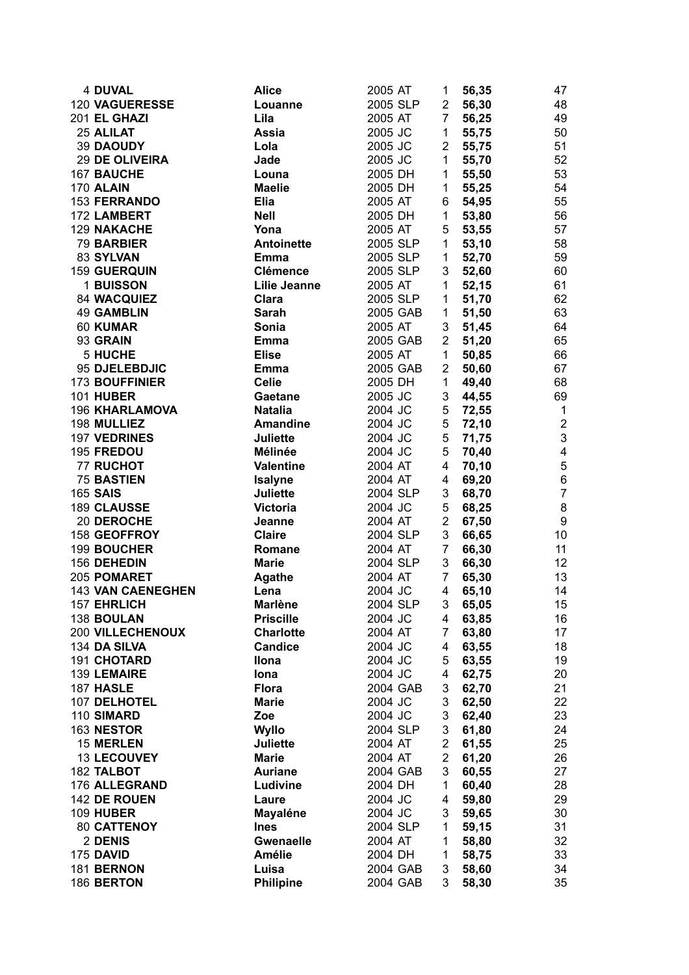| <b>4 DUVAL</b>           | <b>Alice</b>        | 2005 AT  | 1              | 56,35     | 47              |
|--------------------------|---------------------|----------|----------------|-----------|-----------------|
| 120 VAGUERESSE           | Louanne             | 2005 SLP | 2 <sup>1</sup> | 56,30     | 48              |
| 201 EL GHAZI             | Lila                | 2005 AT  | 7 <sup>7</sup> | 56,25     | 49              |
| 25 ALILAT                | Assia               | 2005 JC  | 1              | 55,75     | 50              |
| 39 DAOUDY                | Lola                | 2005 JC  | $2^{\circ}$    | 55,75     | 51              |
| <b>29 DE OLIVEIRA</b>    | Jade                | 2005 JC  | $\mathbf 1$    | 55,70     | 52              |
| 167 BAUCHE               | Louna               | 2005 DH  | 1              | 55,50     | 53              |
| 170 ALAIN                | <b>Maelie</b>       | 2005 DH  | 1              | 55,25     | 54              |
| <b>153 FERRANDO</b>      | <b>Elia</b>         | 2005 AT  | 6              | 54,95     | 55              |
| 172 LAMBERT              | <b>Nell</b>         | 2005 DH  | 1              | 53,80     | 56              |
| 129 NAKACHE              | Yona                | 2005 AT  | 5              | 53,55     | 57              |
| 79 BARBIER               | Antoinette          | 2005 SLP | $\mathbf{1}$   | 53,10     | 58              |
| 83 SYLVAN                | Emma                | 2005 SLP | 1              | 52,70     | 59              |
| <b>159 GUERQUIN</b>      | <b>Clémence</b>     | 2005 SLP | 3              | 52,60     | 60              |
| 1 BUISSON                | <b>Lilie Jeanne</b> | 2005 AT  | $\mathbf{1}$   | 52,15     | 61              |
| 84 WACQUIEZ              | Clara               | 2005 SLP | 1              | 51,70     | 62              |
| <b>49 GAMBLIN</b>        | Sarah               | 2005 GAB | 1              | 51,50     | 63              |
| 60 KUMAR                 | Sonia               | 2005 AT  | 3              | 51,45     | 64              |
| 93 GRAIN                 | <b>Emma</b>         | 2005 GAB | 2 <sup>1</sup> | 51,20     | 65              |
| <b>5 HUCHE</b>           | <b>Elise</b>        | 2005 AT  | $\mathbf{1}$   | 50,85     | 66              |
| 95 DJELEBDJIC            | Emma                | 2005 GAB | $\overline{2}$ | 50,60     | 67              |
| 173 BOUFFINIER           | <b>Celie</b>        | 2005 DH  | $\mathbf{1}$   | 49,40     | 68              |
| <b>101 HUBER</b>         | Gaetane             | 2005 JC  | 3              | 44,55     | 69              |
| <b>196 KHARLAMOVA</b>    | <b>Natalia</b>      | 2004 JC  | 5 <sub>5</sub> | 72,55     | $\mathbf{1}$    |
| 198 MULLIEZ              | <b>Amandine</b>     | 2004 JC  |                | $5$ 72,10 | $\overline{2}$  |
| 197 VEDRINES             | <b>Juliette</b>     | 2004 JC  | 5 <sub>5</sub> | 71,75     | 3               |
| 195 FREDOU               | Mélinée             | 2004 JC  | 5              | 70,40     | $\overline{4}$  |
| <b>77 RUCHOT</b>         | <b>Valentine</b>    | 2004 AT  | $\overline{4}$ | 70,10     | 5               |
| <b>75 BASTIEN</b>        | <b>Isalyne</b>      | 2004 AT  | 4              | 69,20     | $\,6\,$         |
| <b>165 SAIS</b>          | <b>Juliette</b>     | 2004 SLP | 3              | 68,70     | $\overline{7}$  |
| 189 CLAUSSE              | <b>Victoria</b>     | 2004 JC  | 5              | 68,25     | 8               |
| 20 DEROCHE               | Jeanne              | 2004 AT  | $\overline{2}$ | 67,50     | 9               |
| 158 GEOFFROY             | <b>Claire</b>       | 2004 SLP | 3              | 66,65     | 10 <sup>1</sup> |
| 199 BOUCHER              | Romane              | 2004 AT  | 7 <sup>7</sup> | 66,30     | 11              |
| 156 DEHEDIN              | <b>Marie</b>        | 2004 SLP | 3              | 66,30     | 12              |
| 205 POMARET              | <b>Agathe</b>       | 2004 AT  | $7^{\circ}$    | 65,30     | 13              |
| <b>143 VAN CAENEGHEN</b> | Lena                | 2004 JC  | 4              | 65,10     | 14              |
| 157 EHRLICH              | <b>Marlène</b>      | 2004 SLP | 3 <sup>7</sup> | 65,05     | 15              |
| 138 BOULAN               | <b>Priscille</b>    | 2004 JC  | 4              | 63,85     | 16              |
| <b>200 VILLECHENOUX</b>  | <b>Charlotte</b>    | 2004 AT  | 7              | 63,80     | 17              |
| 134 DA SILVA             | <b>Candice</b>      | 2004 JC  | 4              | 63,55     | 18              |
| 191 CHOTARD              | Ilona               | 2004 JC  | 5              | 63,55     | 19              |
| 139 LEMAIRE              | lona                | 2004 JC  | 4              | 62,75     | 20              |
| 187 HASLE                | <b>Flora</b>        | 2004 GAB | 3              | 62,70     | 21              |
| 107 DELHOTEL             | <b>Marie</b>        | 2004 JC  | 3              | 62,50     | 22              |
| 110 SIMARD               | Zoe                 | 2004 JC  | 3              | 62,40     | 23              |
| 163 NESTOR               | <b>Wyllo</b>        | 2004 SLP | 3              | 61,80     | 24              |
| 15 MERLEN                | <b>Juliette</b>     | 2004 AT  | $\overline{c}$ | 61,55     | 25              |
| 13 LECOUVEY              | <b>Marie</b>        | 2004 AT  | $\overline{c}$ | 61,20     | 26              |
| 182 TALBOT               | <b>Auriane</b>      | 2004 GAB | 3              | 60,55     | 27              |
| 176 ALLEGRAND            | Ludivine            | 2004 DH  | $\mathbf 1$    | 60,40     | 28              |
| 142 DE ROUEN             | Laure               | 2004 JC  | 4              | 59,80     | 29              |
| <b>109 HUBER</b>         | Mayaléne            | 2004 JC  | 3              | 59,65     | 30              |
| 80 CATTENOY              | <b>Ines</b>         | 2004 SLP | $\mathbf 1$    | 59,15     | 31              |
| 2 DENIS                  | <b>Gwenaelle</b>    | 2004 AT  | $\mathbf 1$    | 58,80     | 32              |
| <b>175 DAVID</b>         | <b>Amélie</b>       | 2004 DH  | $\mathbf 1$    | 58,75     | 33              |
| 181 BERNON               | Luisa               | 2004 GAB | 3              | 58,60     | 34              |
| 186 BERTON               | <b>Philipine</b>    | 2004 GAB | 3              | 58,30     | 35              |